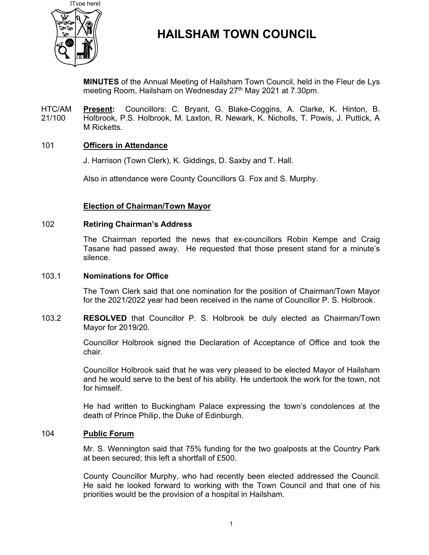

# HAILSHAM TOWN COUNCIL

MINUTES of the Annual Meeting of Hailsham Town Council, held in the Fleur de Lys meeting Room, Hailsham on Wednesday 27<sup>th</sup> May 2021 at 7.30pm.

HTC/AM 21/100 Present: Councillors: C. Bryant, G. Blake-Coggins, A. Clarke, K. Hinton, B. Holbrook, P.S. Holbrook, M. Laxton, R. Newark, K. Nicholls, T. Powis, J. Puttick, A M Ricketts.

# 101 Officers in Attendance

J. Harrison (Town Clerk), K. Giddings, D. Saxby and T. Hall.

Also in attendance were County Councillors G. Fox and S. Murphy.

# Election of Chairman/Town Mayor

#### 102 Retiring Chairman's Address

The Chairman reported the news that ex-councillors Robin Kempe and Craig Tasane had passed away. He requested that those present stand for a minute's silence.

#### 103.1 Nominations for Office

The Town Clerk said that one nomination for the position of Chairman/Town Mayor for the 2021/2022 year had been received in the name of Councillor P. S. Holbrook.

103.2 RESOLVED that Councillor P. S. Holbrook be duly elected as Chairman/Town Mayor for 2019/20.

> Councillor Holbrook signed the Declaration of Acceptance of Office and took the chair.

> Councillor Holbrook said that he was very pleased to be elected Mayor of Hailsham and he would serve to the best of his ability. He undertook the work for the town, not for himself.

> He had written to Buckingham Palace expressing the town's condolences at the death of Prince Philip, the Duke of Edinburgh.

# 104 Public Forum

Mr. S. Wennington said that 75% funding for the two goalposts at the Country Park at been secured; this left a shortfall of £500.

County Councillor Murphy, who had recently been elected addressed the Council. He said he looked forward to working with the Town Council and that one of his priorities would be the provision of a hospital in Hailsham.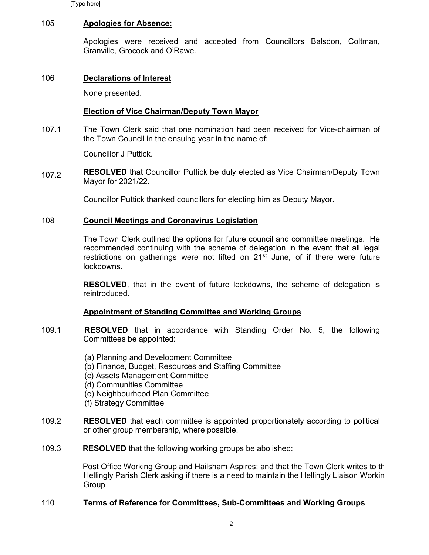[Type here]

#### 105 Apologies for Absence:

Apologies were received and accepted from Councillors Balsdon, Coltman, Granville, Grocock and O'Rawe.

#### 106 Declarations of Interest

None presented.

# Election of Vice Chairman/Deputy Town Mayor

107.1 The Town Clerk said that one nomination had been received for Vice-chairman of the Town Council in the ensuing year in the name of:

Councillor J Puttick.

107.2 RESOLVED that Councillor Puttick be duly elected as Vice Chairman/Deputy Town Mayor for 2021/22.

Councillor Puttick thanked councillors for electing him as Deputy Mayor.

#### 108 Council Meetings and Coronavirus Legislation

The Town Clerk outlined the options for future council and committee meetings. He recommended continuing with the scheme of delegation in the event that all legal restrictions on gatherings were not lifted on 21<sup>st</sup> June, of if there were future lockdowns.

RESOLVED, that in the event of future lockdowns, the scheme of delegation is reintroduced.

# Appointment of Standing Committee and Working Groups

- 109.1 RESOLVED that in accordance with Standing Order No. 5, the following Committees be appointed:
	- (a) Planning and Development Committee (b) Finance, Budget, Resources and Staffing Committee (c) Assets Management Committee (d) Communities Committee (e) Neighbourhood Plan Committee (f) Strategy Committee
- 109.2 RESOLVED that each committee is appointed proportionately according to political or other group membership, where possible.
- 109.3 RESOLVED that the following working groups be abolished:

Post Office Working Group and Hailsham Aspires; and that the Town Clerk writes to the Hellingly Parish Clerk asking if there is a need to maintain the Hellingly Liaison Working Group

# 110 Terms of Reference for Committees, Sub-Committees and Working Groups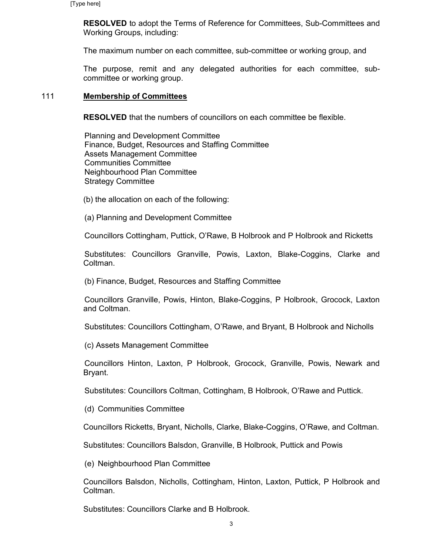RESOLVED to adopt the Terms of Reference for Committees, Sub-Committees and Working Groups, including:

The maximum number on each committee, sub-committee or working group, and

The purpose, remit and any delegated authorities for each committee, subcommittee or working group.

#### 111 Membership of Committees

RESOLVED that the numbers of councillors on each committee be flexible.

Planning and Development Committee Finance, Budget, Resources and Staffing Committee Assets Management Committee Communities Committee Neighbourhood Plan Committee Strategy Committee

(b) the allocation on each of the following:

(a) Planning and Development Committee

Councillors Cottingham, Puttick, O'Rawe, B Holbrook and P Holbrook and Ricketts

Substitutes: Councillors Granville, Powis, Laxton, Blake-Coggins, Clarke and Coltman.

(b) Finance, Budget, Resources and Staffing Committee

Councillors Granville, Powis, Hinton, Blake-Coggins, P Holbrook, Grocock, Laxton and Coltman.

Substitutes: Councillors Cottingham, O'Rawe, and Bryant, B Holbrook and Nicholls

(c) Assets Management Committee

Councillors Hinton, Laxton, P Holbrook, Grocock, Granville, Powis, Newark and Bryant.

Substitutes: Councillors Coltman, Cottingham, B Holbrook, O'Rawe and Puttick.

(d) Communities Committee

Councillors Ricketts, Bryant, Nicholls, Clarke, Blake-Coggins, O'Rawe, and Coltman.

Substitutes: Councillors Balsdon, Granville, B Holbrook, Puttick and Powis

(e) Neighbourhood Plan Committee

Councillors Balsdon, Nicholls, Cottingham, Hinton, Laxton, Puttick, P Holbrook and Coltman.

Substitutes: Councillors Clarke and B Holbrook.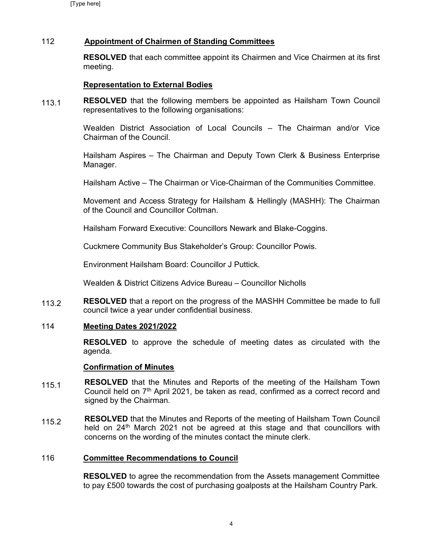# 112 Appointment of Chairmen of Standing Committees

RESOLVED that each committee appoint its Chairmen and Vice Chairmen at its first meeting.

# Representation to External Bodies

113.1 RESOLVED that the following members be appointed as Hailsham Town Council representatives to the following organisations:

> Wealden District Association of Local Councils – The Chairman and/or Vice Chairman of the Council.

> Hailsham Aspires – The Chairman and Deputy Town Clerk & Business Enterprise Manager.

Hailsham Active – The Chairman or Vice-Chairman of the Communities Committee.

Movement and Access Strategy for Hailsham & Hellingly (MASHH): The Chairman of the Council and Councillor Coltman.

Hailsham Forward Executive: Councillors Newark and Blake-Coggins.

Cuckmere Community Bus Stakeholder's Group: Councillor Powis.

Environment Hailsham Board: Councillor J Puttick.

Wealden & District Citizens Advice Bureau – Councillor Nicholls

113.2 RESOLVED that a report on the progress of the MASHH Committee be made to full council twice a year under confidential business.

# 114 Meeting Dates 2021/2022

RESOLVED to approve the schedule of meeting dates as circulated with the agenda.

#### Confirmation of Minutes

- 115.1 RESOLVED that the Minutes and Reports of the meeting of the Hailsham Town Council held on  $7<sup>th</sup>$  April 2021, be taken as read, confirmed as a correct record and signed by the Chairman.
- 115.2 RESOLVED that the Minutes and Reports of the meeting of Hailsham Town Council held on 24<sup>th</sup> March 2021 not be agreed at this stage and that councillors with concerns on the wording of the minutes contact the minute clerk.

# 116 Committee Recommendations to Council

RESOLVED to agree the recommendation from the Assets management Committee to pay £500 towards the cost of purchasing goalposts at the Hailsham Country Park.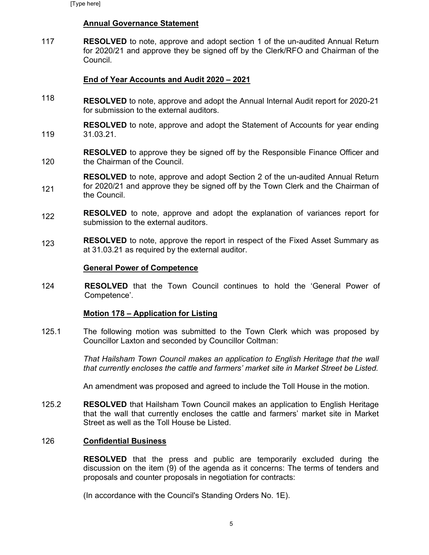### Annual Governance Statement

117 RESOLVED to note, approve and adopt section 1 of the un-audited Annual Return for 2020/21 and approve they be signed off by the Clerk/RFO and Chairman of the Council.

# End of Year Accounts and Audit 2020 – 2021

118 RESOLVED to note, approve and adopt the Annual Internal Audit report for 2020-21 for submission to the external auditors.

119 RESOLVED to note, approve and adopt the Statement of Accounts for year ending 31.03.21.

120 RESOLVED to approve they be signed off by the Responsible Finance Officer and the Chairman of the Council.

121 RESOLVED to note, approve and adopt Section 2 of the un-audited Annual Return for 2020/21 and approve they be signed off by the Town Clerk and the Chairman of the Council.

- 122 RESOLVED to note, approve and adopt the explanation of variances report for submission to the external auditors.
- 123 RESOLVED to note, approve the report in respect of the Fixed Asset Summary as at 31.03.21 as required by the external auditor.

#### General Power of Competence

124 RESOLVED that the Town Council continues to hold the 'General Power of Competence'.

#### Motion 178 – Application for Listing

125.1 The following motion was submitted to the Town Clerk which was proposed by Councillor Laxton and seconded by Councillor Coltman:

> That Hailsham Town Council makes an application to English Heritage that the wall that currently encloses the cattle and farmers' market site in Market Street be Listed.

An amendment was proposed and agreed to include the Toll House in the motion.

125.2 RESOLVED that Hailsham Town Council makes an application to English Heritage that the wall that currently encloses the cattle and farmers' market site in Market Street as well as the Toll House be Listed.

#### 126 Confidential Business

RESOLVED that the press and public are temporarily excluded during the discussion on the item (9) of the agenda as it concerns: The terms of tenders and proposals and counter proposals in negotiation for contracts:

(In accordance with the Council's Standing Orders No. 1E).